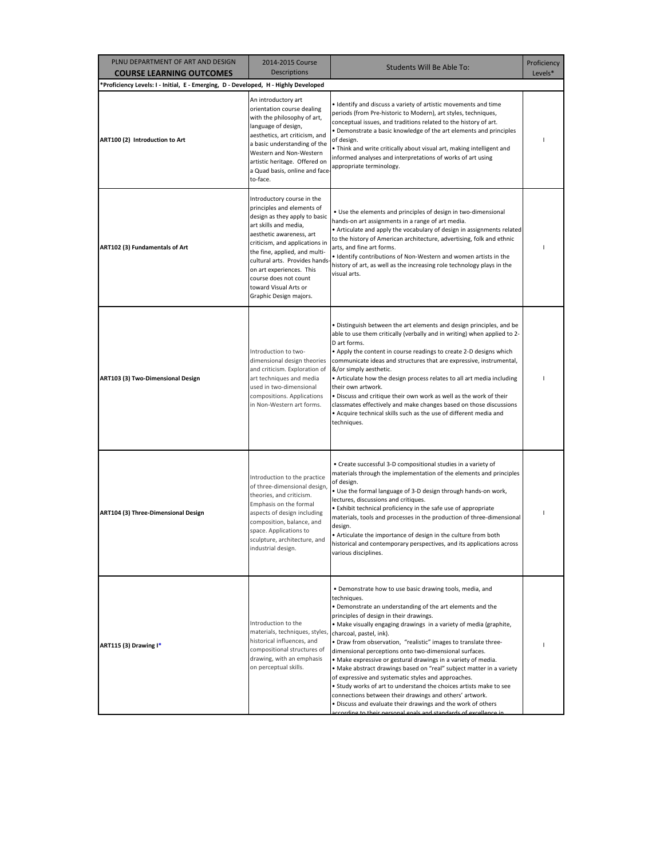| PLNU DEPARTMENT OF ART AND DESIGN<br><b>COURSE LEARNING OUTCOMES</b>               | 2014-2015 Course<br><b>Descriptions</b>                                                                                                                                                                                                                                                                                                                    | Students Will Be Able To:                                                                                                                                                                                                                                                                                                                                                                                                                                                                                                                                                                                                                                                                                                                                                                                                                                                          | Proficiency<br>Levels* |
|------------------------------------------------------------------------------------|------------------------------------------------------------------------------------------------------------------------------------------------------------------------------------------------------------------------------------------------------------------------------------------------------------------------------------------------------------|------------------------------------------------------------------------------------------------------------------------------------------------------------------------------------------------------------------------------------------------------------------------------------------------------------------------------------------------------------------------------------------------------------------------------------------------------------------------------------------------------------------------------------------------------------------------------------------------------------------------------------------------------------------------------------------------------------------------------------------------------------------------------------------------------------------------------------------------------------------------------------|------------------------|
| Proficiency Levels: I - Initial, E - Emerging, D - Developed, H - Highly Developed |                                                                                                                                                                                                                                                                                                                                                            |                                                                                                                                                                                                                                                                                                                                                                                                                                                                                                                                                                                                                                                                                                                                                                                                                                                                                    |                        |
| ART100 (2) Introduction to Art                                                     | An introductory art<br>orientation course dealing<br>with the philosophy of art,<br>language of design,<br>aesthetics, art criticism, and<br>a basic understanding of the<br>Western and Non-Western<br>artistic heritage. Offered on<br>a Quad basis, online and face<br>to-face.                                                                         | . Identify and discuss a variety of artistic movements and time<br>periods (from Pre-historic to Modern), art styles, techniques,<br>conceptual issues, and traditions related to the history of art.<br>· Demonstrate a basic knowledge of the art elements and principles<br>of design.<br>. Think and write critically about visual art, making intelligent and<br>informed analyses and interpretations of works of art using<br>appropriate terminology.                                                                                                                                                                                                                                                                                                                                                                                                                      |                        |
| ART102 (3) Fundamentals of Art                                                     | Introductory course in the<br>principles and elements of<br>design as they apply to basic<br>art skills and media,<br>aesthetic awareness, art<br>criticism, and applications in<br>the fine, applied, and multi-<br>cultural arts. Provides hands<br>on art experiences. This<br>course does not count<br>toward Visual Arts or<br>Graphic Design majors. | . Use the elements and principles of design in two-dimensional<br>hands-on art assignments in a range of art media.<br>• Articulate and apply the vocabulary of design in assignments related<br>to the history of American architecture, advertising, folk and ethnic<br>arts, and fine art forms.<br>. Identify contributions of Non-Western and women artists in the<br>history of art, as well as the increasing role technology plays in the<br>visual arts.                                                                                                                                                                                                                                                                                                                                                                                                                  |                        |
| ART103 (3) Two-Dimensional Design                                                  | Introduction to two-<br>dimensional design theories<br>and criticism. Exploration of<br>art techniques and media<br>used in two-dimensional<br>compositions. Applications<br>in Non-Western art forms.                                                                                                                                                     | • Distinguish between the art elements and design principles, and be<br>able to use them critically (verbally and in writing) when applied to 2-<br>D art forms.<br>. Apply the content in course readings to create 2-D designs which<br>communicate ideas and structures that are expressive, instrumental,<br>&/or simply aesthetic.<br>• Articulate how the design process relates to all art media including<br>their own artwork.<br>. Discuss and critique their own work as well as the work of their<br>classmates effectively and make changes based on those discussions<br>• Acquire technical skills such as the use of different media and<br>techniques.                                                                                                                                                                                                            |                        |
| ART104 (3) Three-Dimensional Design                                                | Introduction to the practice<br>of three-dimensional design,<br>theories, and criticism.<br>Emphasis on the formal<br>aspects of design including<br>composition, balance, and<br>space. Applications to<br>sculpture, architecture, and<br>industrial design.                                                                                             | • Create successful 3-D compositional studies in a variety of<br>materials through the implementation of the elements and principles<br>of design.<br>. Use the formal language of 3-D design through hands-on work,<br>lectures, discussions and critiques.<br>• Exhibit technical proficiency in the safe use of appropriate<br>materials, tools and processes in the production of three-dimensional<br>design.<br>• Articulate the importance of design in the culture from both<br>historical and contemporary perspectives, and its applications across<br>various disciplines.                                                                                                                                                                                                                                                                                              |                        |
| ART115 (3) Drawing I*                                                              | Introduction to the<br>materials, techniques, styles,<br>historical influences, and<br>compositional structures of<br>drawing, with an emphasis<br>on perceptual skills.                                                                                                                                                                                   | · Demonstrate how to use basic drawing tools, media, and<br>techniques.<br>. Demonstrate an understanding of the art elements and the<br>principles of design in their drawings.<br>. Make visually engaging drawings in a variety of media (graphite,<br>charcoal, pastel, ink).<br>. Draw from observation, "realistic" images to translate three-<br>dimensional perceptions onto two-dimensional surfaces.<br>. Make expressive or gestural drawings in a variety of media.<br>. Make abstract drawings based on "real" subject matter in a variety<br>of expressive and systematic styles and approaches.<br>• Study works of art to understand the choices artists make to see<br>connections between their drawings and others' artwork.<br>. Discuss and evaluate their drawings and the work of others<br>crording to their nersonal goals and standards of excellence in |                        |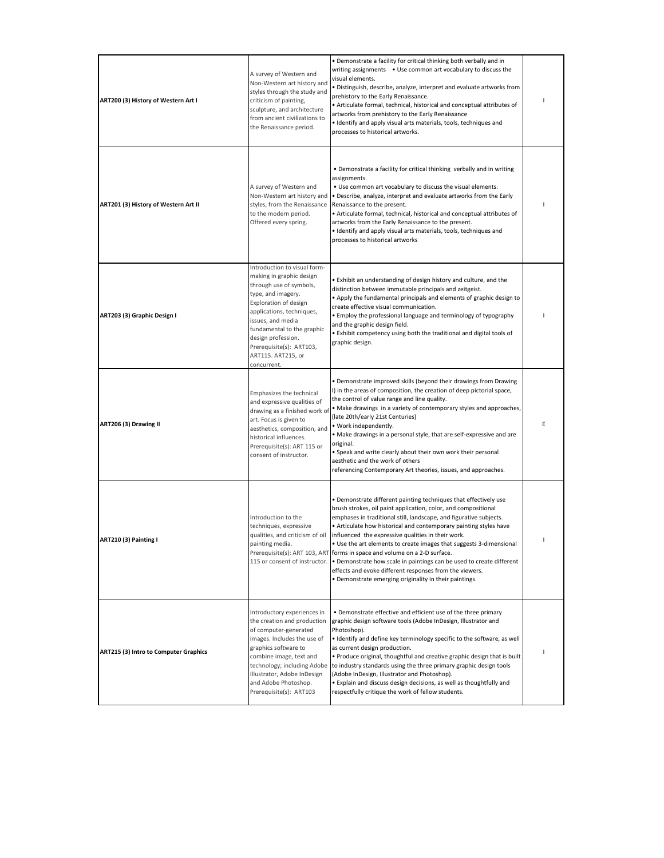| ART200 (3) History of Western Art I   | A survey of Western and<br>Non-Western art history and<br>styles through the study and<br>criticism of painting,<br>sculpture, and architecture<br>from ancient civilizations to<br>the Renaissance period.                                                                                               | • Demonstrate a facility for critical thinking both verbally and in<br>writing assignments . Use common art vocabulary to discuss the<br>visual elements.<br>· Distinguish, describe, analyze, interpret and evaluate artworks from<br>prehistory to the Early Renaissance.<br>• Articulate formal, technical, historical and conceptual attributes of<br>artworks from prehistory to the Early Renaissance<br>· Identify and apply visual arts materials, tools, techniques and<br>processes to historical artworks.                                                                                                                                                                |                          |
|---------------------------------------|-----------------------------------------------------------------------------------------------------------------------------------------------------------------------------------------------------------------------------------------------------------------------------------------------------------|--------------------------------------------------------------------------------------------------------------------------------------------------------------------------------------------------------------------------------------------------------------------------------------------------------------------------------------------------------------------------------------------------------------------------------------------------------------------------------------------------------------------------------------------------------------------------------------------------------------------------------------------------------------------------------------|--------------------------|
| ART201 (3) History of Western Art II  | A survey of Western and<br>Non-Western art history and<br>styles, from the Renaissance<br>to the modern period.<br>Offered every spring.                                                                                                                                                                  | . Demonstrate a facility for critical thinking verbally and in writing<br>assignments.<br>. Use common art vocabulary to discuss the visual elements.<br>. Describe, analyze, interpret and evaluate artworks from the Early<br>Renaissance to the present.<br>• Articulate formal, technical, historical and conceptual attributes of<br>artworks from the Early Renaissance to the present.<br>. Identify and apply visual arts materials, tools, techniques and<br>processes to historical artworks                                                                                                                                                                               |                          |
| ART203 (3) Graphic Design I           | Introduction to visual form-<br>making in graphic design<br>through use of symbols,<br>type, and imagery.<br>Exploration of design<br>applications, techniques,<br>issues, and media<br>fundamental to the graphic<br>design profession.<br>Prerequisite(s): ART103,<br>ART115. ART215, or<br>concurrent. | . Exhibit an understanding of design history and culture, and the<br>distinction between immutable principals and zeitgeist.<br>• Apply the fundamental principals and elements of graphic design to<br>create effective visual communication.<br>• Employ the professional language and terminology of typography<br>and the graphic design field.<br>. Exhibit competency using both the traditional and digital tools of<br>graphic design.                                                                                                                                                                                                                                       |                          |
| ART206 (3) Drawing II                 | Emphasizes the technical<br>and expressive qualities of<br>drawing as a finished work of<br>art. Focus is given to<br>aesthetics, composition, and<br>historical influences.<br>Prerequisite(s): ART 115 or<br>consent of instructor.                                                                     | . Demonstrate improved skills (beyond their drawings from Drawing<br>I) in the areas of composition, the creation of deep pictorial space,<br>the control of value range and line quality.<br>. Make drawings in a variety of contemporary styles and approaches,<br>(late 20th/early 21st Centuries)<br>• Work independently.<br>. Make drawings in a personal style, that are self-expressive and are<br>original.<br>• Speak and write clearly about their own work their personal<br>aesthetic and the work of others<br>referencing Contemporary Art theories, issues, and approaches.                                                                                          | E                        |
| ART210 (3) Painting I                 | Introduction to the<br>techniques, expressive<br>qualities, and criticism of oil<br>painting media.<br>115 or consent of instructor.                                                                                                                                                                      | • Demonstrate different painting techniques that effectively use<br>brush strokes, oil paint application, color, and compositional<br>emphases in traditional still, landscape, and figurative subjects.<br>. Articulate how historical and contemporary painting styles have<br>influenced the expressive qualities in their work.<br>. Use the art elements to create images that suggests 3-dimensional<br>Prerequisite(s): ART 103, ART forms in space and volume on a 2-D surface.<br>. Demonstrate how scale in paintings can be used to create different<br>effects and evoke different responses from the viewers.<br>· Demonstrate emerging originality in their paintings. |                          |
| ART215 (3) Intro to Computer Graphics | Introductory experiences in<br>the creation and production<br>of computer-generated<br>images. Includes the use of<br>graphics software to<br>combine image, text and<br>technology; including Adobe<br>Illustrator, Adobe InDesign<br>and Adobe Photoshop.<br>Prerequisite(s): ART103                    | • Demonstrate effective and efficient use of the three primary<br>graphic design software tools (Adobe InDesign, Illustrator and<br>Photoshop).<br>• Identify and define key terminology specific to the software, as well<br>as current design production.<br>· Produce original, thoughtful and creative graphic design that is built<br>to industry standards using the three primary graphic design tools<br>(Adobe InDesign, Illustrator and Photoshop).<br>• Explain and discuss design decisions, as well as thoughtfully and<br>respectfully critique the work of fellow students.                                                                                           | $\overline{\phantom{a}}$ |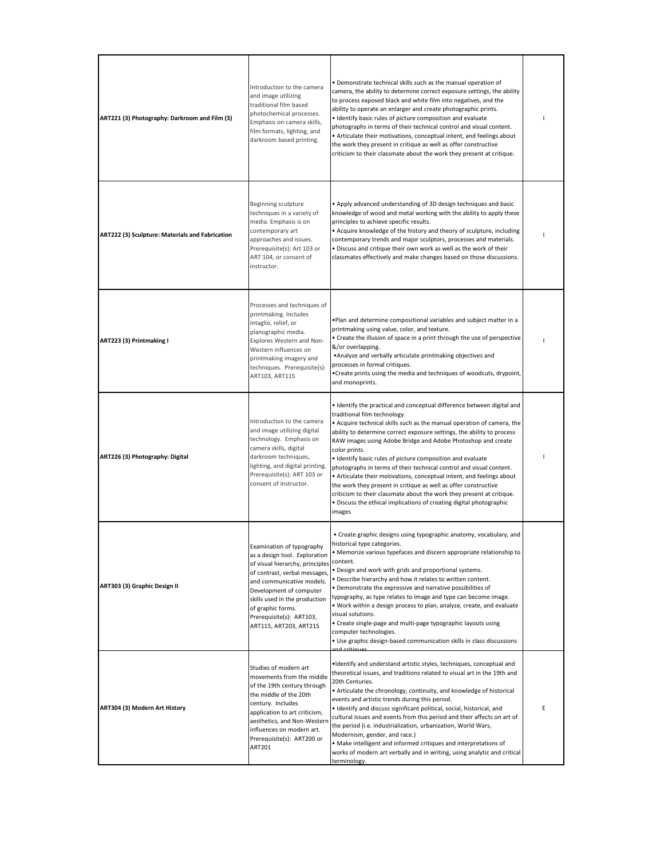| ART221 (3) Photography: Darkroom and Film (3)   | Introduction to the camera<br>and image utilizing<br>traditional film based<br>photochemical processes.<br>Emphasis on camera skills,<br>film formats, lighting, and<br>darkroom based printing.                                                                                                   | • Demonstrate technical skills such as the manual operation of<br>camera, the ability to determine correct exposure settings, the ability<br>to process exposed black and white film into negatives, and the<br>ability to operate an enlarger and create photographic prints.<br>· Identify basic rules of picture composition and evaluate<br>photographs in terms of their technical control and visual content.<br>• Articulate their motivations, conceptual intent, and feelings about<br>the work they present in critique as well as offer constructive<br>criticism to their classmate about the work they present at critique.                                                                                                                                               |   |
|-------------------------------------------------|----------------------------------------------------------------------------------------------------------------------------------------------------------------------------------------------------------------------------------------------------------------------------------------------------|----------------------------------------------------------------------------------------------------------------------------------------------------------------------------------------------------------------------------------------------------------------------------------------------------------------------------------------------------------------------------------------------------------------------------------------------------------------------------------------------------------------------------------------------------------------------------------------------------------------------------------------------------------------------------------------------------------------------------------------------------------------------------------------|---|
| ART222 (3) Sculpture: Materials and Fabrication | Beginning sculpture<br>techniques in a variety of<br>media. Emphasis is on<br>contemporary art<br>approaches and issues.<br>Prerequisite(s): Art 103 or<br>ART 104, or consent of<br>instructor.                                                                                                   | • Apply advanced understanding of 3D design techniques and basic<br>knowledge of wood and metal working with the ability to apply these<br>principles to achieve specific results.<br>• Acquire knowledge of the history and theory of sculpture, including<br>contemporary trends and major sculptors, processes and materials.<br>. Discuss and critique their own work as well as the work of their<br>classmates effectively and make changes based on those discussions.                                                                                                                                                                                                                                                                                                          |   |
| ART223 (3) Printmaking I                        | Processes and techniques of<br>printmaking. Includes<br>intaglio, relief, or<br>planographic media.<br>Explores Western and Non-<br>Western influences on<br>printmaking imagery and<br>techniques. Prerequisite(s):<br>ART103, ART115                                                             | .Plan and determine compositional variables and subject matter in a<br>printmaking using value, color, and texture.<br>• Create the illusion of space in a print through the use of perspective<br>&/or overlapping.<br>. Analyze and verbally articulate printmaking objectives and<br>processes in formal critiques.<br>• Create prints using the media and techniques of woodcuts, drypoint,<br>and monoprints.                                                                                                                                                                                                                                                                                                                                                                     |   |
| ART226 (3) Photography: Digital                 | Introduction to the camera<br>and image utilizing digital<br>technology. Emphasis on<br>camera skills, digital<br>darkroom techniques,<br>lighting, and digital printing.<br>Prerequisite(s): ART 103 or<br>consent of instructor.                                                                 | • Identify the practical and conceptual difference between digital and<br>traditional film technology.<br>• Acquire technical skills such as the manual operation of camera, the<br>ability to determine correct exposure settings, the ability to process<br>RAW images using Adobe Bridge and Adobe Photoshop and create<br>color prints.<br>· Identify basic rules of picture composition and evaluate<br>photographs in terms of their technical control and visual content.<br>• Articulate their motivations, conceptual intent, and feelings about<br>the work they present in critique as well as offer constructive<br>criticism to their classmate about the work they present at critique.<br>. Discuss the ethical implications of creating digital photographic<br>images |   |
| ART303 (3) Graphic Design II                    | Examination of typography<br>as a design tool. Exploration<br>of visual hierarchy, principles<br>of contrast, verbal messages,<br>and communicative models.<br>Development of computer<br>skills used in the production<br>of graphic forms.<br>Prerequisite(s): ART103,<br>ART115, ART203, ART215 | • Create graphic designs using typographic anatomy, vocabulary, and<br>historical type categories.<br>· Memorize various typefaces and discern appropriate relationship to<br>content.<br>. Design and work with grids and proportional systems.<br>. Describe hierarchy and how it relates to written content.<br>. Demonstrate the expressive and narrative possibilities of<br>typography, as type relates to image and type can become image.<br>. Work within a design process to plan, analyze, create, and evaluate<br>visual solutions.<br>• Create single-page and multi-page typographic layouts using<br>computer technologies.<br>. Use graphic design-based communication skills in class discussions                                                                     |   |
| ART304 (3) Modern Art History                   | Studies of modern art<br>movements from the middle<br>of the 19th century through<br>the middle of the 20th<br>century. Includes<br>application to art criticism,<br>aesthetics, and Non-Western<br>influences on modern art.<br>Prerequisite(s): ART200 or<br>ART201                              | . Identify and understand artistic styles, techniques, conceptual and<br>theoretical issues, and traditions related to visual art in the 19th and<br>20th Centuries.<br>• Articulate the chronology, continuity, and knowledge of historical<br>events and artistic trends during this period.<br>· Identify and discuss significant political, social, historical, and<br>cultural issues and events from this period and their affects on art of<br>the period (i.e. industrialization, urbanization, World Wars,<br>Modernism, gender, and race.)<br>• Make intelligent and informed critiques and interpretations of<br>works of modern art verbally and in writing, using analytic and critical<br>terminology.                                                                   | E |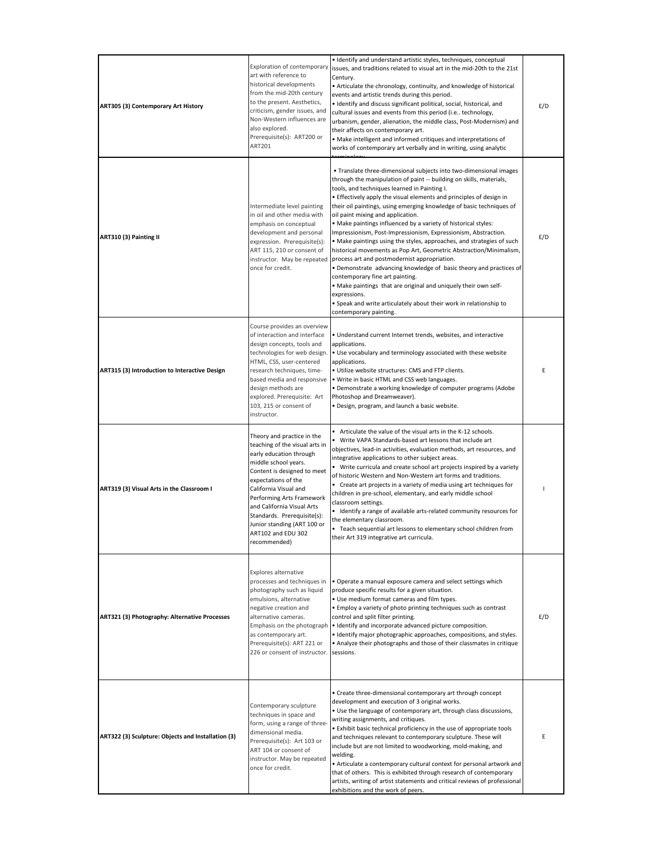| ART305 (3) Contemporary Art History                | Exploration of contemporary<br>art with reference to<br>historical developments<br>from the mid-20th century<br>to the present. Aesthetics,<br>criticism, gender issues, and<br>Non-Western influences are<br>also explored.<br>Prerequisite(s): ART200 or<br>ART201                                                                                          | • Identify and understand artistic styles, techniques, conceptual<br>issues, and traditions related to visual art in the mid-20th to the 21st<br>Century.<br>• Articulate the chronology, continuity, and knowledge of historical<br>events and artistic trends during this period.<br>• Identify and discuss significant political, social, historical, and<br>cultural issues and events from this period (i.e technology,<br>urbanism, gender, alienation, the middle class, Post-Modernism) and<br>their affects on contemporary art.<br>• Make intelligent and informed critiques and interpretations of<br>works of contemporary art verbally and in writing, using analytic                                                                                                                                                                                                                                                                                                                           | E/D                      |
|----------------------------------------------------|---------------------------------------------------------------------------------------------------------------------------------------------------------------------------------------------------------------------------------------------------------------------------------------------------------------------------------------------------------------|--------------------------------------------------------------------------------------------------------------------------------------------------------------------------------------------------------------------------------------------------------------------------------------------------------------------------------------------------------------------------------------------------------------------------------------------------------------------------------------------------------------------------------------------------------------------------------------------------------------------------------------------------------------------------------------------------------------------------------------------------------------------------------------------------------------------------------------------------------------------------------------------------------------------------------------------------------------------------------------------------------------|--------------------------|
| ART310 (3) Painting II                             | Intermediate level painting<br>in oil and other media with<br>emphasis on conceptual<br>development and personal<br>expression. Prerequisite(s):<br>ART 115, 210 or consent of<br>instructor. May be repeated<br>once for credit.                                                                                                                             | . Translate three-dimensional subjects into two-dimensional images<br>through the manipulation of paint -- building on skills, materials,<br>tools, and techniques learned in Painting I.<br>• Effectively apply the visual elements and principles of design in<br>their oil paintings, using emerging knowledge of basic techniques of<br>oil paint mixing and application.<br>• Make paintings influenced by a variety of historical styles:<br>Impressionism, Post-Impressionism, Expressionism, Abstraction.<br>• Make paintings using the styles, approaches, and strategies of such<br>historical movements as Pop Art, Geometric Abstraction/Minimalism,<br>process art and postmodernist appropriation.<br>• Demonstrate advancing knowledge of basic theory and practices of<br>contemporary fine art painting.<br>. Make paintings that are original and uniquely their own self-<br>expressions.<br>• Speak and write articulately about their work in relationship to<br>contemporary painting. | E/D                      |
| ART315 (3) Introduction to Interactive Design      | Course provides an overview<br>of interaction and interface<br>design concepts, tools and<br>technologies for web design.<br>HTML, CSS, user-centered<br>research techniques, time-<br>based media and responsive<br>design methods are<br>explored. Prerequisite: Art<br>103, 215 or consent of<br>instructor.                                               | . Understand current Internet trends, websites, and interactive<br>applications.<br>. Use vocabulary and terminology associated with these website<br>applications.<br>. Utilize website structures: CMS and FTP clients.<br>• Write in basic HTML and CSS web languages.<br>• Demonstrate a working knowledge of computer programs (Adobe<br>Photoshop and Dreamweaver).<br>· Design, program, and launch a basic website.                                                                                                                                                                                                                                                                                                                                                                                                                                                                                                                                                                                  | E                        |
| ART319 (3) Visual Arts in the Classroom I          | Theory and practice in the<br>teaching of the visual arts in<br>early education through<br>middle school years.<br>Content is designed to meet<br>expectations of the<br>California Visual and<br>Performing Arts Framework<br>and California Visual Arts<br>Standards. Prerequisite(s):<br>Junior standing (ART 100 or<br>ART102 and EDU 302<br>recommended) | • Articulate the value of the visual arts in the K-12 schools.<br>• Write VAPA Standards-based art lessons that include art<br>objectives, lead-in activities, evaluation methods, art resources, and<br>integrative applications to other subject areas.<br>• Write curricula and create school art projects inspired by a variety<br>of historic Western and Non-Western art forms and traditions.<br>• Create art projects in a variety of media using art techniques for<br>children in pre-school, elementary, and early middle school<br>classroom settings.<br>• Identify a range of available arts-related community resources for<br>the elementary classroom.<br>• Teach sequential art lessons to elementary school children from<br>their Art 319 integrative art curricula.                                                                                                                                                                                                                     | $\overline{\phantom{a}}$ |
| ART321 (3) Photography: Alternative Processes      | Explores alternative<br>processes and techniques in<br>photography such as liquid<br>emulsions, alternative<br>negative creation and<br>alternative cameras.<br>as contemporary art.<br>Prerequisite(s): ART 221 or<br>226 or consent of instructor.                                                                                                          | • Operate a manual exposure camera and select settings which<br>produce specific results for a given situation.<br>• Use medium format cameras and film types.<br>. Employ a variety of photo printing techniques such as contrast<br>control and split filter printing.<br>Emphasis on the photograph   • Identify and incorporate advanced picture composition.<br>· Identify major photographic approaches, compositions, and styles.<br>• Analyze their photographs and those of their classmates in critique<br>sessions.                                                                                                                                                                                                                                                                                                                                                                                                                                                                               | E/D                      |
| ART322 (3) Sculpture: Objects and Installation (3) | Contemporary sculpture<br>techniques in space and<br>form, using a range of three-<br>dimensional media.<br>Prerequisite(s): Art 103 or<br>ART 104 or consent of<br>instructor. May be repeated<br>once for credit.                                                                                                                                           | • Create three-dimensional contemporary art through concept<br>development and execution of 3 original works.<br>• Use the language of contemporary art, through class discussions,<br>writing assignments, and critiques.<br>. Exhibit basic technical proficiency in the use of appropriate tools<br>and techniques relevant to contemporary sculpture. These will<br>include but are not limited to woodworking, mold-making, and<br>welding.<br>• Articulate a contemporary cultural context for personal artwork and<br>that of others. This is exhibited through research of contemporary<br>artists, writing of artist statements and critical reviews of professional<br>exhibitions and the work of peers.                                                                                                                                                                                                                                                                                          | E                        |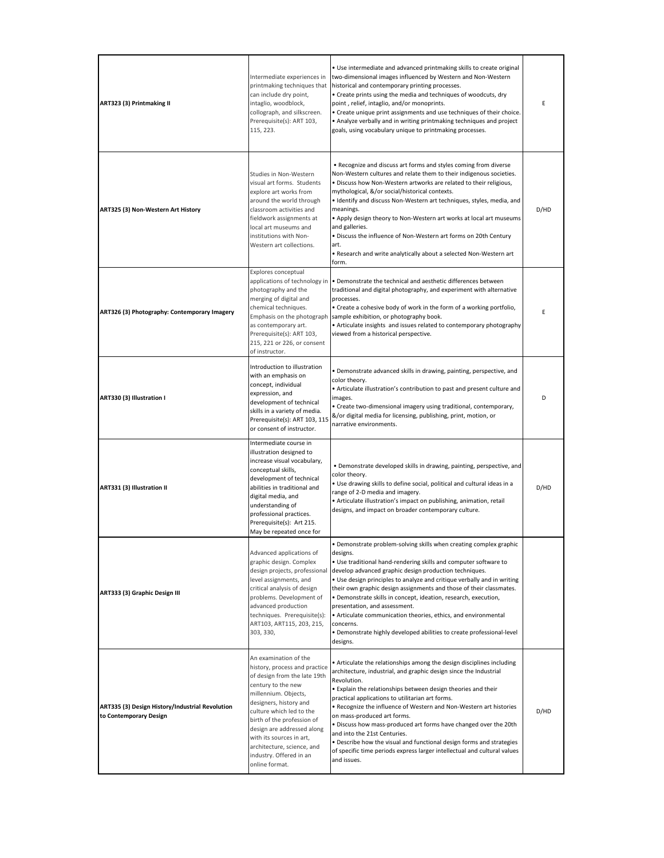| ART323 (3) Printmaking II                                                 | Intermediate experiences in<br>printmaking techniques that<br>can include dry point,<br>intaglio, woodblock,<br>collograph, and silkscreen.<br>Prerequisite(s): ART 103,<br>115, 223.                                                                                                                                                                         | . Use intermediate and advanced printmaking skills to create original<br>two-dimensional images influenced by Western and Non-Western<br>historical and contemporary printing processes.<br>• Create prints using the media and techniques of woodcuts, dry<br>point, relief, intaglio, and/or monoprints.<br>. Create unique print assignments and use techniques of their choice.<br>• Analyze verbally and in writing printmaking techniques and project<br>goals, using vocabulary unique to printmaking processes.                                                                                                                                    | E    |
|---------------------------------------------------------------------------|---------------------------------------------------------------------------------------------------------------------------------------------------------------------------------------------------------------------------------------------------------------------------------------------------------------------------------------------------------------|------------------------------------------------------------------------------------------------------------------------------------------------------------------------------------------------------------------------------------------------------------------------------------------------------------------------------------------------------------------------------------------------------------------------------------------------------------------------------------------------------------------------------------------------------------------------------------------------------------------------------------------------------------|------|
| ART325 (3) Non-Western Art History                                        | Studies in Non-Western<br>visual art forms. Students<br>explore art works from<br>around the world through<br>classroom activities and<br>fieldwork assignments at<br>local art museums and<br>institutions with Non-<br>Western art collections.                                                                                                             | • Recognize and discuss art forms and styles coming from diverse<br>Non-Western cultures and relate them to their indigenous societies.<br>. Discuss how Non-Western artworks are related to their religious,<br>mythological, &/or social/historical contexts.<br>· Identify and discuss Non-Western art techniques, styles, media, and<br>meanings.<br>• Apply design theory to Non-Western art works at local art museums<br>and galleries.<br>• Discuss the influence of Non-Western art forms on 20th Century<br>art.<br>. Research and write analytically about a selected Non-Western art<br>form.                                                  | D/HD |
| ART326 (3) Photography: Contemporary Imagery                              | Explores conceptual<br>applications of technology in<br>photography and the<br>merging of digital and<br>chemical techniques.<br>Emphasis on the photograph<br>as contemporary art.<br>Prerequisite(s): ART 103,<br>215, 221 or 226, or consent<br>of instructor.                                                                                             | . Demonstrate the technical and aesthetic differences between<br>traditional and digital photography, and experiment with alternative<br>processes.<br>• Create a cohesive body of work in the form of a working portfolio,<br>sample exhibition, or photography book.<br>• Articulate insights and issues related to contemporary photography<br>viewed from a historical perspective.                                                                                                                                                                                                                                                                    | E    |
| ART330 (3) Illustration I                                                 | Introduction to illustration<br>with an emphasis on<br>concept, individual<br>expression, and<br>development of technical<br>skills in a variety of media.<br>Prerequisite(s): ART 103, 115<br>or consent of instructor.                                                                                                                                      | • Demonstrate advanced skills in drawing, painting, perspective, and<br>color theory.<br>• Articulate illustration's contribution to past and present culture and<br>images.<br>• Create two-dimensional imagery using traditional, contemporary,<br>&/or digital media for licensing, publishing, print, motion, or<br>narrative environments.                                                                                                                                                                                                                                                                                                            | D    |
| ART331 (3) Illustration II                                                | Intermediate course in<br>illustration designed to<br>increase visual vocabulary,<br>conceptual skills,<br>development of technical<br>abilities in traditional and<br>digital media, and<br>understanding of<br>professional practices.<br>Prerequisite(s): Art 215.<br>May be repeated once for                                                             | • Demonstrate developed skills in drawing, painting, perspective, and<br>color theory.<br>. Use drawing skills to define social, political and cultural ideas in a<br>range of 2-D media and imagery.<br>· Articulate illustration's impact on publishing, animation, retail<br>designs, and impact on broader contemporary culture.                                                                                                                                                                                                                                                                                                                       | D/HD |
| ART333 (3) Graphic Design III                                             | Advanced applications of<br>graphic design. Complex<br>design projects, professional<br>level assignments, and<br>critical analysis of design<br>problems. Development of<br>advanced production<br>techniques. Prerequisite(s):<br>ART103, ART115, 203, 215,<br>303, 330,                                                                                    | • Demonstrate problem-solving skills when creating complex graphic<br>designs.<br>. Use traditional hand-rendering skills and computer software to<br>develop advanced graphic design production techniques.<br>. Use design principles to analyze and critique verbally and in writing<br>their own graphic design assignments and those of their classmates.<br>· Demonstrate skills in concept, ideation, research, execution,<br>presentation, and assessment.<br>• Articulate communication theories, ethics, and environmental<br>concerns.<br>. Demonstrate highly developed abilities to create professional-level<br>designs.                     |      |
| ART335 (3) Design History/Industrial Revolution<br>to Contemporary Design | An examination of the<br>history, process and practice<br>of design from the late 19th<br>century to the new<br>millennium. Objects,<br>designers, history and<br>culture which led to the<br>birth of the profession of<br>design are addressed along<br>with its sources in art,<br>architecture, science, and<br>industry. Offered in an<br>online format. | • Articulate the relationships among the design disciplines including<br>architecture, industrial, and graphic design since the Industrial<br>Revolution.<br>. Explain the relationships between design theories and their<br>practical applications to utilitarian art forms.<br>. Recognize the influence of Western and Non-Western art histories<br>on mass-produced art forms.<br>. Discuss how mass-produced art forms have changed over the 20th<br>and into the 21st Centuries.<br>. Describe how the visual and functional design forms and strategies<br>of specific time periods express larger intellectual and cultural values<br>and issues. | D/HD |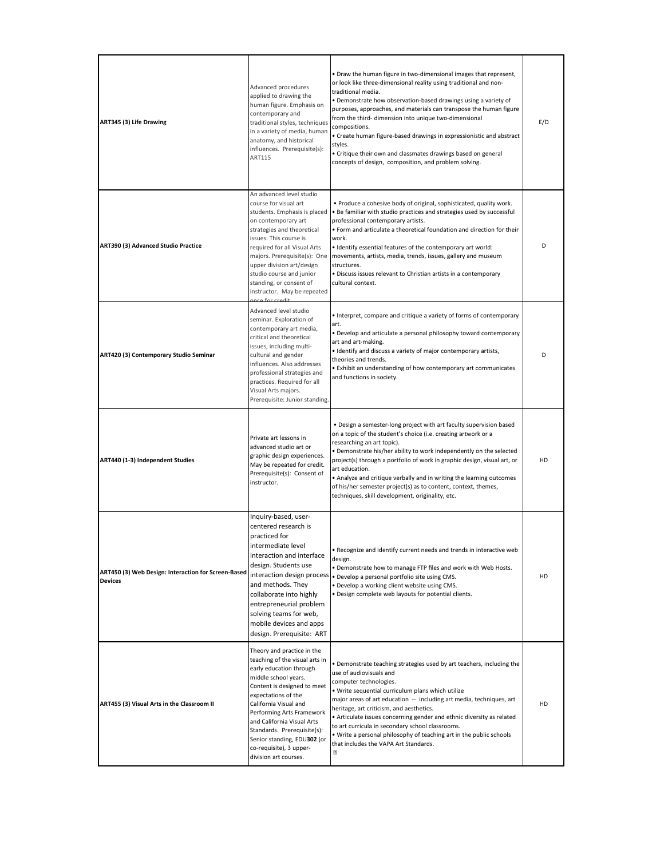| ART345 (3) Life Drawing                                               | Advanced procedures<br>applied to drawing the<br>human figure. Emphasis on<br>contemporary and<br>traditional styles, techniques<br>in a variety of media, human<br>anatomy, and historical<br>influences. Prerequisite(s):<br>ART115                                                                                                                                       | • Draw the human figure in two-dimensional images that represent,<br>or look like three-dimensional reality using traditional and non-<br>traditional media.<br>. Demonstrate how observation-based drawings using a variety of<br>purposes, approaches, and materials can transpose the human figure<br>from the third- dimension into unique two-dimensional<br>compositions.<br>• Create human figure-based drawings in expressionistic and abstract<br>styles.<br>• Critique their own and classmates drawings based on general<br>concepts of design, composition, and problem solving. | E/D |
|-----------------------------------------------------------------------|-----------------------------------------------------------------------------------------------------------------------------------------------------------------------------------------------------------------------------------------------------------------------------------------------------------------------------------------------------------------------------|----------------------------------------------------------------------------------------------------------------------------------------------------------------------------------------------------------------------------------------------------------------------------------------------------------------------------------------------------------------------------------------------------------------------------------------------------------------------------------------------------------------------------------------------------------------------------------------------|-----|
| ART390 (3) Advanced Studio Practice                                   | An advanced level studio<br>course for visual art<br>students. Emphasis is placed<br>on contemporary art<br>strategies and theoretical<br>issues. This course is<br>required for all Visual Arts<br>majors. Prerequisite(s): One<br>upper division art/design<br>studio course and junior<br>standing, or consent of<br>instructor. May be repeated<br>ance for credit      | . Produce a cohesive body of original, sophisticated, quality work.<br>• Be familiar with studio practices and strategies used by successful<br>professional contemporary artists.<br>. Form and articulate a theoretical foundation and direction for their<br>work.<br>. Identify essential features of the contemporary art world:<br>movements, artists, media, trends, issues, gallery and museum<br>structures.<br>· Discuss issues relevant to Christian artists in a contemporary<br>cultural context.                                                                               | D   |
| ART420 (3) Contemporary Studio Seminar                                | Advanced level studio<br>seminar. Exploration of<br>contemporary art media,<br>critical and theoretical<br>issues, including multi-<br>cultural and gender<br>influences. Also addresses<br>professional strategies and<br>practices. Required for all<br>Visual Arts majors.<br>Prerequisite: Junior standing.                                                             | • Interpret, compare and critique a variety of forms of contemporary<br>art.<br>. Develop and articulate a personal philosophy toward contemporary<br>art and art-making.<br>• Identify and discuss a variety of major contemporary artists,<br>theories and trends.<br>. Exhibit an understanding of how contemporary art communicates<br>and functions in society.                                                                                                                                                                                                                         | D   |
| ART440 (1-3) Independent Studies                                      | Private art lessons in<br>advanced studio art or<br>graphic design experiences.<br>May be repeated for credit.<br>Prerequisite(s): Consent of<br>instructor.                                                                                                                                                                                                                | • Design a semester-long project with art faculty supervision based<br>on a topic of the student's choice (i.e. creating artwork or a<br>researching an art topic).<br>• Demonstrate his/her ability to work independently on the selected<br>project(s) through a portfolio of work in graphic design, visual art, or<br>art education.<br>• Analyze and critique verbally and in writing the learning outcomes<br>of his/her semester project(s) as to content, context, themes,<br>techniques, skill development, originality, etc.                                                       | HD  |
| ART450 (3) Web Design: Interaction for Screen-Based<br><b>Devices</b> | Inquiry-based, user-<br>centered research is<br>practiced for<br>intermediate level<br>interaction and interface<br>design. Students use<br>interaction design process<br>and methods. They<br>collaborate into highly<br>entrepreneurial problem<br>solving teams for web,<br>mobile devices and apps<br>design. Prerequisite: ART                                         | . Recognize and identify current needs and trends in interactive web<br>design.<br>. Demonstrate how to manage FTP files and work with Web Hosts.<br>. Develop a personal portfolio site using CMS.<br>. Develop a working client website using CMS.<br>. Design complete web layouts for potential clients.                                                                                                                                                                                                                                                                                 | HD  |
| ART455 (3) Visual Arts in the Classroom II                            | Theory and practice in the<br>teaching of the visual arts in<br>early education through<br>middle school years.<br>Content is designed to meet<br>expectations of the<br>California Visual and<br>Performing Arts Framework<br>and California Visual Arts<br>Standards. Prerequisite(s):<br>Senior standing, EDU302 (or<br>co-requisite), 3 upper-<br>division art courses. | . Demonstrate teaching strategies used by art teachers, including the<br>use of audiovisuals and<br>computer technologies.<br>. Write sequential curriculum plans which utilize<br>major areas of art education -- including art media, techniques, art<br>heritage, art criticism, and aesthetics.<br>• Articulate issues concerning gender and ethnic diversity as related<br>to art curricula in secondary school classrooms.<br>. Write a personal philosophy of teaching art in the public schools<br>that includes the VAPA Art Standards.<br>$\overline{\mathbb{E}}$                  | HD  |